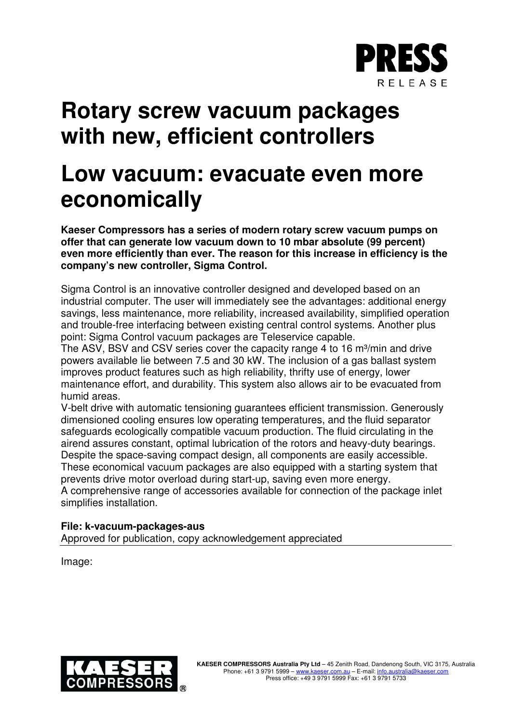

## **Rotary screw vacuum packages with new, efficient controllers**

## **Low vacuum: evacuate even more economically**

**Kaeser Compressors has a series of modern rotary screw vacuum pumps on offer that can generate low vacuum down to 10 mbar absolute (99 percent) even more efficiently than ever. The reason for this increase in efficiency is the company's new controller, Sigma Control.**

Sigma Control is an innovative controller designed and developed based on an industrial computer. The user will immediately see the advantages: additional energy savings, less maintenance, more reliability, increased availability, simplified operation and trouble-free interfacing between existing central control systems. Another plus point: Sigma Control vacuum packages are Teleservice capable.

The ASV, BSV and CSV series cover the capacity range 4 to 16 m<sup>3</sup>/min and drive powers available lie between 7.5 and 30 kW. The inclusion of a gas ballast system improves product features such as high reliability, thrifty use of energy, lower maintenance effort, and durability. This system also allows air to be evacuated from humid areas.

V-belt drive with automatic tensioning guarantees efficient transmission. Generously dimensioned cooling ensures low operating temperatures, and the fluid separator safeguards ecologically compatible vacuum production. The fluid circulating in the airend assures constant, optimal lubrication of the rotors and heavy-duty bearings. Despite the space-saving compact design, all components are easily accessible. These economical vacuum packages are also equipped with a starting system that prevents drive motor overload during start-up, saving even more energy. A comprehensive range of accessories available for connection of the package inlet simplifies installation.

## **File: k-vacuum-packages-aus**

Approved for publication, copy acknowledgement appreciated

Image: